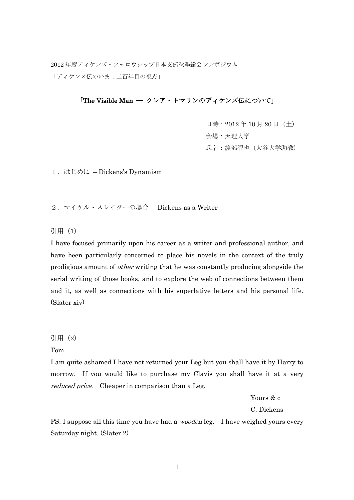2012 年度ディケンズ・フェロウシップ日本支部秋季総会シンポジウム 「ディケンズ伝のいま:二百年目の視点」

# 「The Visible Man –– クレア・トマリンのディケンズ伝について」

 日時:2012 年 10 月 20 日(土) 会場:天理大学 氏名:渡部智也(大谷大学助教)

1.はじめに – Dickens's Dynamism

2.マイケル・スレイターの場合 – Dickens as a Writer

# 引用 (1)

I have focused primarily upon his career as a writer and professional author, and have been particularly concerned to place his novels in the context of the truly prodigious amount of other writing that he was constantly producing alongside the serial writing of those books, and to explore the web of connections between them and it, as well as connections with his superlative letters and his personal life. (Slater xiv)

引用(2)

Tom

I am quite ashamed I have not returned your Leg but you shall have it by Harry to morrow. If you would like to purchase my Clavis you shall have it at a very reduced price. Cheaper in comparison than a Leg.

Yours & c

C. Dickens

PS. I suppose all this time you have had a *wooden* leg. I have weighed yours every Saturday night. (Slater 2)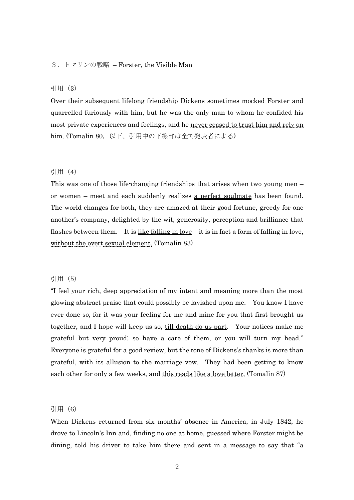# 3.トマリンの戦略 – Forster, the Visible Man

# 引用(3)

Over their subsequent lifelong friendship Dickens sometimes mocked Forster and quarrelled furiously with him, but he was the only man to whom he confided his most private experiences and feelings, and he never ceased to trust him and rely on him. (Tomalin 80,以下、引用中の下線部は全て発表者による)

### 引用 (4)

This was one of those life-changing friendships that arises when two young men – or women – meet and each suddenly realizes a perfect soulmate has been found. The world changes for both, they are amazed at their good fortune, greedy for one another's company, delighted by the wit, generosity, perception and brilliance that flashes between them. It is  $\underline{like falling in love} - it$  is in fact a form of falling in love, without the overt sexual element. (Tomalin 83)

### 引用 (5)

"I feel your rich, deep appreciation of my intent and meaning more than the most glowing abstract praise that could possibly be lavished upon me. You know I have ever done so, for it was your feeling for me and mine for you that first brought us together, and I hope will keep us so, till death do us part. Your notices make me grateful but very proud; so have a care of them, or you will turn my head." Everyone is grateful for a good review, but the tone of Dickens's thanks is more than grateful, with its allusion to the marriage vow. They had been getting to know each other for only a few weeks, and this reads like a love letter. (Tomalin 87)

#### 引用 (6)

When Dickens returned from six months' absence in America, in July 1842, he drove to Lincoln's Inn and, finding no one at home, guessed where Forster might be dining, told his driver to take him there and sent in a message to say that "a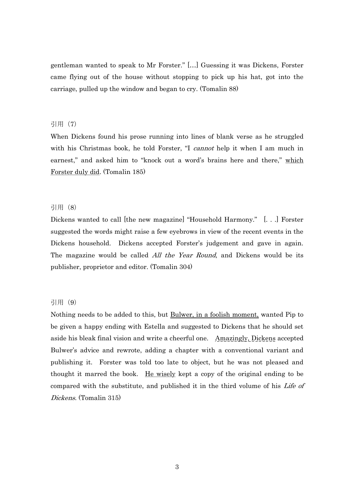gentleman wanted to speak to Mr Forster." […] Guessing it was Dickens, Forster came flying out of the house without stopping to pick up his hat, got into the carriage, pulled up the window and began to cry. (Tomalin 88)

### 引用(7)

When Dickens found his prose running into lines of blank verse as he struggled with his Christmas book, he told Forster, "I *cannot* help it when I am much in earnest," and asked him to "knock out a word's brains here and there," which Forster duly did. (Tomalin 185)

### 引用(8)

Dickens wanted to call [the new magazine] "Household Harmony." [. . .] Forster suggested the words might raise a few eyebrows in view of the recent events in the Dickens household. Dickens accepted Forster's judgement and gave in again. The magazine would be called *All the Year Round*, and Dickens would be its publisher, proprietor and editor. (Tomalin 304)

### 引用 (9)

Nothing needs to be added to this, but Bulwer, in a foolish moment, wanted Pip to be given a happy ending with Estella and suggested to Dickens that he should set aside his bleak final vision and write a cheerful one. Amazingly, Dickens accepted Bulwer's advice and rewrote, adding a chapter with a conventional variant and publishing it. Forster was told too late to object, but he was not pleased and thought it marred the book. He wisely kept a copy of the original ending to be compared with the substitute, and published it in the third volume of his Life of Dickens. (Tomalin 315)